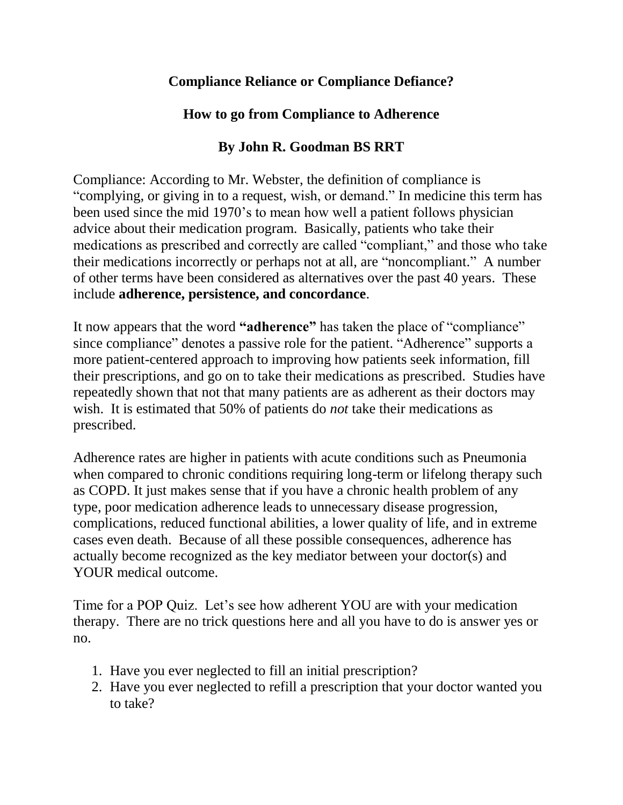## **Compliance Reliance or Compliance Defiance?**

## **How to go from Compliance to Adherence**

## **By John R. Goodman BS RRT**

Compliance: According to Mr. Webster, the definition of compliance is "complying, or giving in to a request, wish, or demand." In medicine this term has been used since the mid 1970's to mean how well a patient follows physician advice about their medication program. Basically, patients who take their medications as prescribed and correctly are called "compliant," and those who take their medications incorrectly or perhaps not at all, are "noncompliant." A number of other terms have been considered as alternatives over the past 40 years. These include **adherence, persistence, and concordance**.

It now appears that the word **"adherence"** has taken the place of "compliance" since compliance" denotes a passive role for the patient. "Adherence" supports a more patient-centered approach to improving how patients seek information, fill their prescriptions, and go on to take their medications as prescribed. Studies have repeatedly shown that not that many patients are as adherent as their doctors may wish. It is estimated that 50% of patients do *not* take their medications as prescribed.

Adherence rates are higher in patients with acute conditions such as Pneumonia when compared to chronic conditions requiring long-term or lifelong therapy such as COPD. It just makes sense that if you have a chronic health problem of any type, poor medication adherence leads to unnecessary disease progression, complications, reduced functional abilities, a lower quality of life, and in extreme cases even death. Because of all these possible consequences, adherence has actually become recognized as the key mediator between your doctor(s) and YOUR medical outcome.

Time for a POP Quiz. Let's see how adherent YOU are with your medication therapy. There are no trick questions here and all you have to do is answer yes or no.

- 1. Have you ever neglected to fill an initial prescription?
- 2. Have you ever neglected to refill a prescription that your doctor wanted you to take?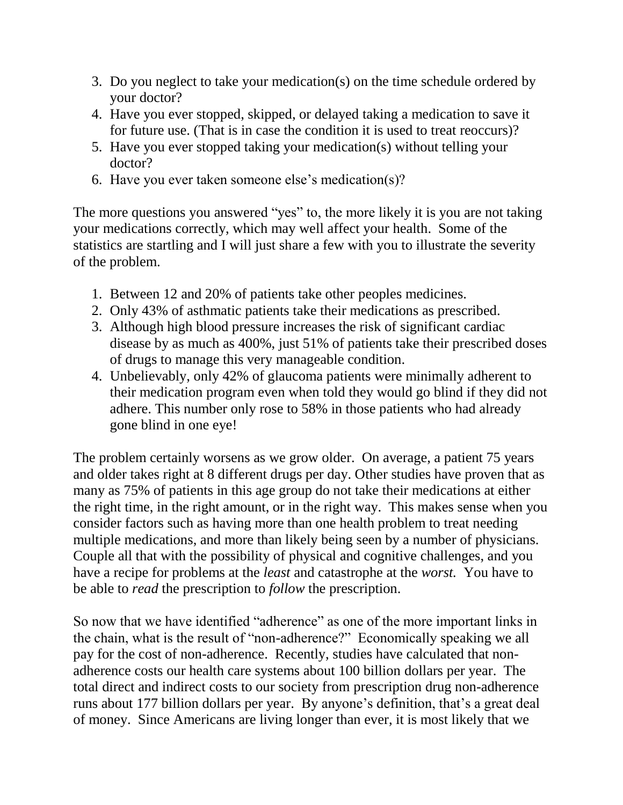- 3. Do you neglect to take your medication(s) on the time schedule ordered by your doctor?
- 4. Have you ever stopped, skipped, or delayed taking a medication to save it for future use. (That is in case the condition it is used to treat reoccurs)?
- 5. Have you ever stopped taking your medication(s) without telling your doctor?
- 6. Have you ever taken someone else's medication(s)?

The more questions you answered "yes" to, the more likely it is you are not taking your medications correctly, which may well affect your health. Some of the statistics are startling and I will just share a few with you to illustrate the severity of the problem.

- 1. Between 12 and 20% of patients take other peoples medicines.
- 2. Only 43% of asthmatic patients take their medications as prescribed.
- 3. Although high blood pressure increases the risk of significant cardiac disease by as much as 400%, just 51% of patients take their prescribed doses of drugs to manage this very manageable condition.
- 4. Unbelievably, only 42% of glaucoma patients were minimally adherent to their medication program even when told they would go blind if they did not adhere. This number only rose to 58% in those patients who had already gone blind in one eye!

The problem certainly worsens as we grow older. On average, a patient 75 years and older takes right at 8 different drugs per day. Other studies have proven that as many as 75% of patients in this age group do not take their medications at either the right time, in the right amount, or in the right way. This makes sense when you consider factors such as having more than one health problem to treat needing multiple medications, and more than likely being seen by a number of physicians. Couple all that with the possibility of physical and cognitive challenges, and you have a recipe for problems at the *least* and catastrophe at the *worst.* You have to be able to *read* the prescription to *follow* the prescription.

So now that we have identified "adherence" as one of the more important links in the chain, what is the result of "non-adherence?" Economically speaking we all pay for the cost of non-adherence. Recently, studies have calculated that nonadherence costs our health care systems about 100 billion dollars per year. The total direct and indirect costs to our society from prescription drug non-adherence runs about 177 billion dollars per year. By anyone's definition, that's a great deal of money. Since Americans are living longer than ever, it is most likely that we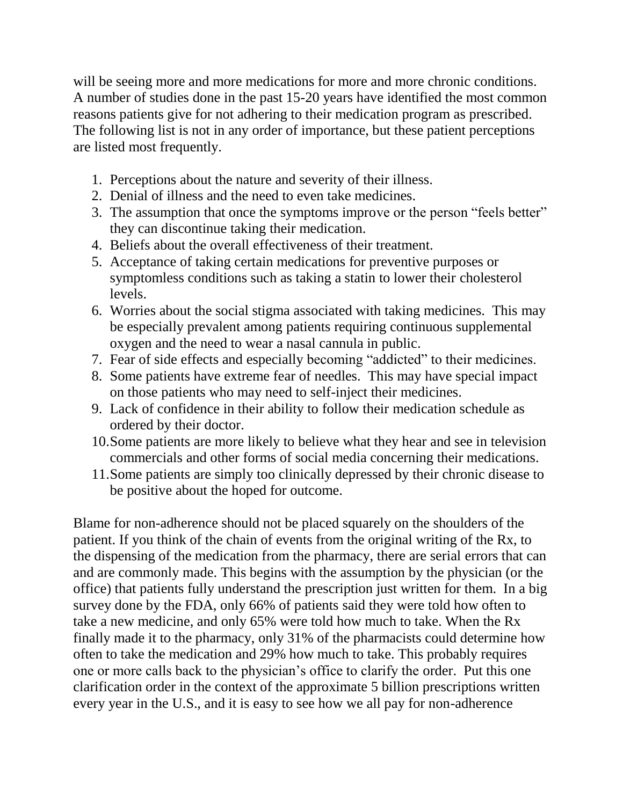will be seeing more and more medications for more and more chronic conditions. A number of studies done in the past 15-20 years have identified the most common reasons patients give for not adhering to their medication program as prescribed. The following list is not in any order of importance, but these patient perceptions are listed most frequently.

- 1. Perceptions about the nature and severity of their illness.
- 2. Denial of illness and the need to even take medicines.
- 3. The assumption that once the symptoms improve or the person "feels better" they can discontinue taking their medication.
- 4. Beliefs about the overall effectiveness of their treatment.
- 5. Acceptance of taking certain medications for preventive purposes or symptomless conditions such as taking a statin to lower their cholesterol levels.
- 6. Worries about the social stigma associated with taking medicines. This may be especially prevalent among patients requiring continuous supplemental oxygen and the need to wear a nasal cannula in public.
- 7. Fear of side effects and especially becoming "addicted" to their medicines.
- 8. Some patients have extreme fear of needles. This may have special impact on those patients who may need to self-inject their medicines.
- 9. Lack of confidence in their ability to follow their medication schedule as ordered by their doctor.
- 10.Some patients are more likely to believe what they hear and see in television commercials and other forms of social media concerning their medications.
- 11.Some patients are simply too clinically depressed by their chronic disease to be positive about the hoped for outcome.

Blame for non-adherence should not be placed squarely on the shoulders of the patient. If you think of the chain of events from the original writing of the Rx, to the dispensing of the medication from the pharmacy, there are serial errors that can and are commonly made. This begins with the assumption by the physician (or the office) that patients fully understand the prescription just written for them. In a big survey done by the FDA, only 66% of patients said they were told how often to take a new medicine, and only 65% were told how much to take. When the Rx finally made it to the pharmacy, only 31% of the pharmacists could determine how often to take the medication and 29% how much to take. This probably requires one or more calls back to the physician's office to clarify the order. Put this one clarification order in the context of the approximate 5 billion prescriptions written every year in the U.S., and it is easy to see how we all pay for non-adherence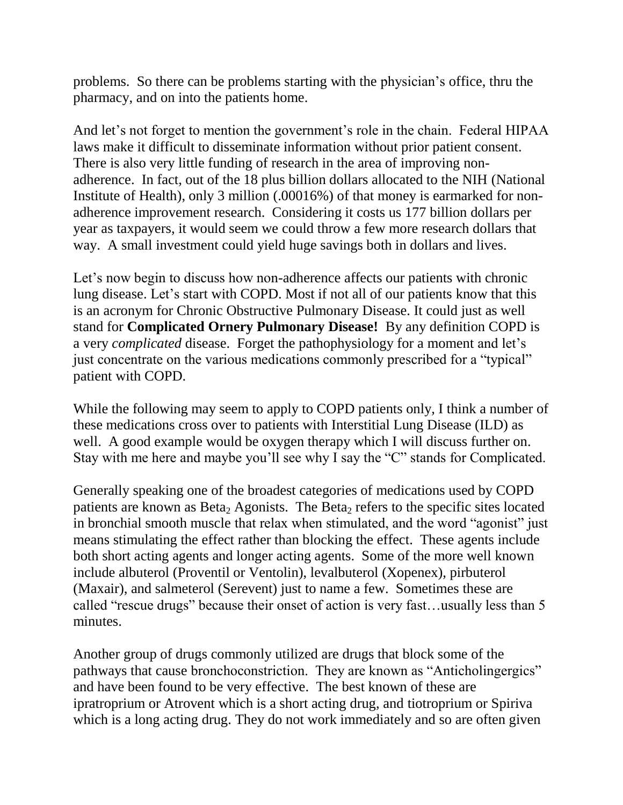problems. So there can be problems starting with the physician's office, thru the pharmacy, and on into the patients home.

And let's not forget to mention the government's role in the chain. Federal HIPAA laws make it difficult to disseminate information without prior patient consent. There is also very little funding of research in the area of improving nonadherence. In fact, out of the 18 plus billion dollars allocated to the NIH (National Institute of Health), only 3 million (.00016%) of that money is earmarked for nonadherence improvement research. Considering it costs us 177 billion dollars per year as taxpayers, it would seem we could throw a few more research dollars that way. A small investment could yield huge savings both in dollars and lives.

Let's now begin to discuss how non-adherence affects our patients with chronic lung disease. Let's start with COPD. Most if not all of our patients know that this is an acronym for Chronic Obstructive Pulmonary Disease. It could just as well stand for **Complicated Ornery Pulmonary Disease!** By any definition COPD is a very *complicated* disease. Forget the pathophysiology for a moment and let's just concentrate on the various medications commonly prescribed for a "typical" patient with COPD.

While the following may seem to apply to COPD patients only, I think a number of these medications cross over to patients with Interstitial Lung Disease (ILD) as well. A good example would be oxygen therapy which I will discuss further on. Stay with me here and maybe you'll see why I say the "C" stands for Complicated.

Generally speaking one of the broadest categories of medications used by COPD patients are known as Beta<sub>2</sub> Agonists. The Beta<sub>2</sub> refers to the specific sites located in bronchial smooth muscle that relax when stimulated, and the word "agonist" just means stimulating the effect rather than blocking the effect. These agents include both short acting agents and longer acting agents. Some of the more well known include albuterol (Proventil or Ventolin), levalbuterol (Xopenex), pirbuterol (Maxair), and salmeterol (Serevent) just to name a few. Sometimes these are called "rescue drugs" because their onset of action is very fast…usually less than 5 minutes.

Another group of drugs commonly utilized are drugs that block some of the pathways that cause bronchoconstriction. They are known as "Anticholingergics" and have been found to be very effective. The best known of these are ipratroprium or Atrovent which is a short acting drug, and tiotroprium or Spiriva which is a long acting drug. They do not work immediately and so are often given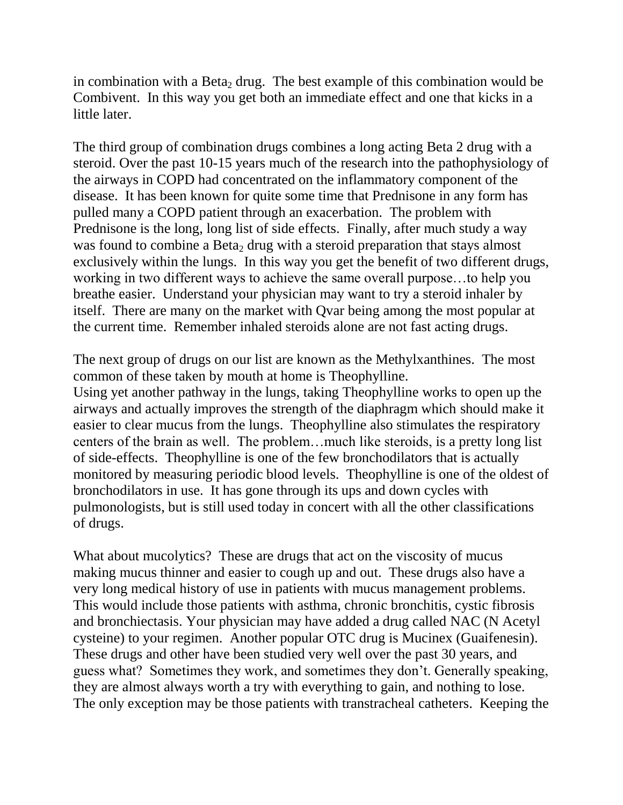in combination with a Beta<sub>2</sub> drug. The best example of this combination would be Combivent. In this way you get both an immediate effect and one that kicks in a little later.

The third group of combination drugs combines a long acting Beta 2 drug with a steroid. Over the past 10-15 years much of the research into the pathophysiology of the airways in COPD had concentrated on the inflammatory component of the disease. It has been known for quite some time that Prednisone in any form has pulled many a COPD patient through an exacerbation. The problem with Prednisone is the long, long list of side effects. Finally, after much study a way was found to combine a Beta<sub>2</sub> drug with a steroid preparation that stays almost exclusively within the lungs. In this way you get the benefit of two different drugs, working in two different ways to achieve the same overall purpose…to help you breathe easier. Understand your physician may want to try a steroid inhaler by itself. There are many on the market with Qvar being among the most popular at the current time. Remember inhaled steroids alone are not fast acting drugs.

The next group of drugs on our list are known as the Methylxanthines. The most common of these taken by mouth at home is Theophylline.

Using yet another pathway in the lungs, taking Theophylline works to open up the airways and actually improves the strength of the diaphragm which should make it easier to clear mucus from the lungs. Theophylline also stimulates the respiratory centers of the brain as well. The problem…much like steroids, is a pretty long list of side-effects. Theophylline is one of the few bronchodilators that is actually monitored by measuring periodic blood levels. Theophylline is one of the oldest of bronchodilators in use. It has gone through its ups and down cycles with pulmonologists, but is still used today in concert with all the other classifications of drugs.

What about mucolytics? These are drugs that act on the viscosity of mucus making mucus thinner and easier to cough up and out. These drugs also have a very long medical history of use in patients with mucus management problems. This would include those patients with asthma, chronic bronchitis, cystic fibrosis and bronchiectasis. Your physician may have added a drug called NAC (N Acetyl cysteine) to your regimen. Another popular OTC drug is Mucinex (Guaifenesin). These drugs and other have been studied very well over the past 30 years, and guess what? Sometimes they work, and sometimes they don't. Generally speaking, they are almost always worth a try with everything to gain, and nothing to lose. The only exception may be those patients with transtracheal catheters. Keeping the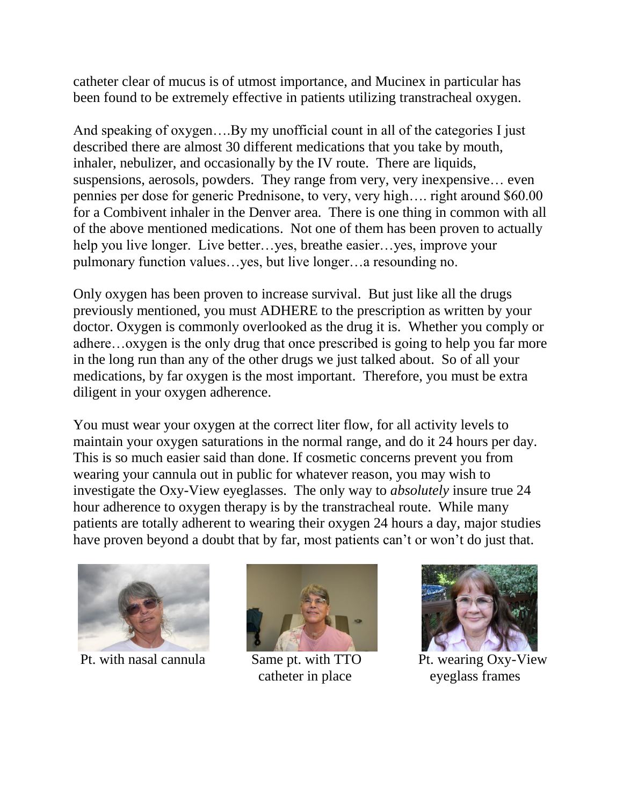catheter clear of mucus is of utmost importance, and Mucinex in particular has been found to be extremely effective in patients utilizing transtracheal oxygen.

And speaking of oxygen….By my unofficial count in all of the categories I just described there are almost 30 different medications that you take by mouth, inhaler, nebulizer, and occasionally by the IV route. There are liquids, suspensions, aerosols, powders. They range from very, very inexpensive… even pennies per dose for generic Prednisone, to very, very high…. right around \$60.00 for a Combivent inhaler in the Denver area. There is one thing in common with all of the above mentioned medications. Not one of them has been proven to actually help you live longer. Live better…yes, breathe easier…yes, improve your pulmonary function values…yes, but live longer…a resounding no.

Only oxygen has been proven to increase survival. But just like all the drugs previously mentioned, you must ADHERE to the prescription as written by your doctor. Oxygen is commonly overlooked as the drug it is. Whether you comply or adhere…oxygen is the only drug that once prescribed is going to help you far more in the long run than any of the other drugs we just talked about. So of all your medications, by far oxygen is the most important. Therefore, you must be extra diligent in your oxygen adherence.

You must wear your oxygen at the correct liter flow, for all activity levels to maintain your oxygen saturations in the normal range, and do it 24 hours per day. This is so much easier said than done. If cosmetic concerns prevent you from wearing your cannula out in public for whatever reason, you may wish to investigate the Oxy-View eyeglasses. The only way to *absolutely* insure true 24 hour adherence to oxygen therapy is by the transtracheal route. While many patients are totally adherent to wearing their oxygen 24 hours a day, major studies have proven beyond a doubt that by far, most patients can't or won't do just that.





catheter in place eyeglass frames



Pt. with nasal cannula Same pt. with TTO Pt. wearing Oxy-View